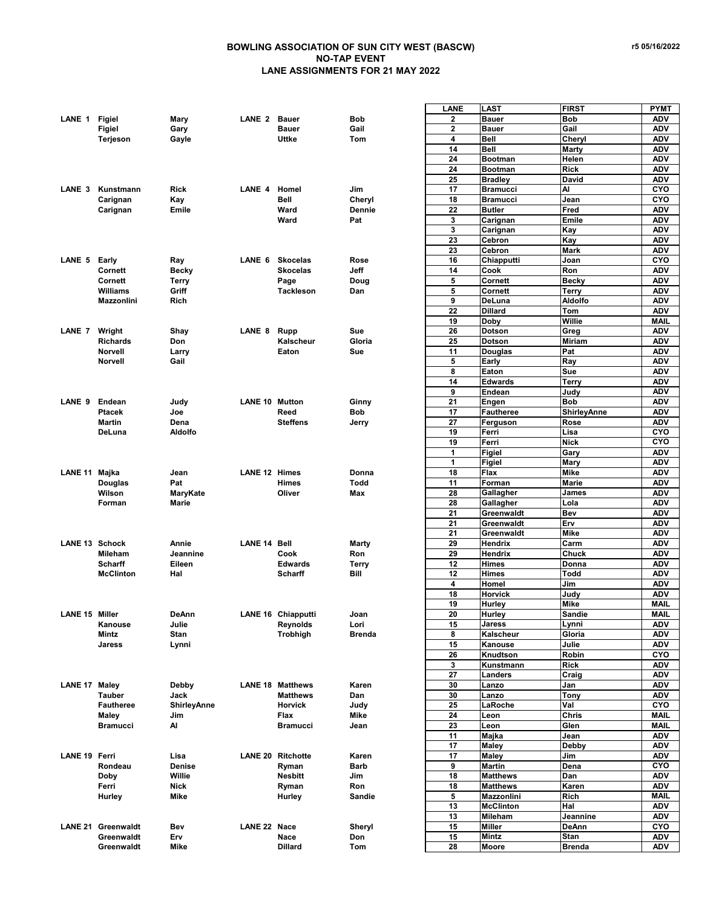## **BOWLING ASSOCIATION OF SUN CITY WEST (BASCW) NO-TAP EVENT LANE ASSIGNMENTS FOR 21 MAY 2022**

|                       |                           |                    |                       |                          |               | LANE         | <b>LAST</b>      | <b>FIRST</b>          | <b>PYMT</b>              |
|-----------------------|---------------------------|--------------------|-----------------------|--------------------------|---------------|--------------|------------------|-----------------------|--------------------------|
| LANE 1 Figiel         |                           | Mary               | <b>LANE 2 Bauer</b>   |                          | <b>Bob</b>    | 2            | <b>Bauer</b>     | <b>Bob</b>            | <b>ADV</b>               |
|                       | <b>Figiel</b>             | Gary               |                       | <b>Bauer</b>             | Gail          | $\mathbf{2}$ | <b>Bauer</b>     | Gail                  | <b>ADV</b>               |
|                       | Terjeson                  | Gayle              |                       | Uttke                    | Tom           | 4            | Bell             | Cheryl                | <b>ADV</b>               |
|                       |                           |                    |                       |                          |               | 14           | Bell             | Marty                 | <b>ADV</b>               |
|                       |                           |                    |                       |                          |               | 24           | <b>Bootman</b>   | Helen                 | <b>ADV</b>               |
|                       |                           |                    |                       |                          |               |              |                  |                       |                          |
|                       |                           |                    |                       |                          |               | 24           | <b>Bootman</b>   | <b>Rick</b>           | <b>ADV</b>               |
|                       |                           |                    |                       |                          |               | 25           | <b>Bradley</b>   | David                 | <b>ADV</b>               |
| LANE <sub>3</sub>     | Kunstmann                 | <b>Rick</b>        | LANE 4                | Homel                    | Jim           | 17           | <b>Bramucci</b>  | AI                    | CYO                      |
|                       | Carignan                  | Kay                |                       | <b>Bell</b>              | Cheryl        | 18           | <b>Bramucci</b>  | Jean                  | CYO                      |
|                       | Carignan                  | Emile              |                       | Ward                     | <b>Dennie</b> | 22           | <b>Butler</b>    | Fred                  | <b>ADV</b>               |
|                       |                           |                    |                       | Ward                     | Pat           | 3            | Carignan         | Emile                 | <b>ADV</b>               |
|                       |                           |                    |                       |                          |               | 3            | Carignan         | Kay                   | <b>ADV</b>               |
|                       |                           |                    |                       |                          |               | 23           | Cebron           | Kay                   | <b>ADV</b>               |
|                       |                           |                    |                       |                          |               | 23           | Cebron           | <b>Mark</b>           | ADV                      |
| LANE 5 Early          |                           | Ray                | LANE 6                | <b>Skocelas</b>          | Rose          | 16           | Chiapputti       | Joan                  | CYO                      |
|                       | Cornett                   | <b>Becky</b>       |                       | <b>Skocelas</b>          | Jeff          | 14           | Cook             | Ron                   | <b>ADV</b>               |
|                       | Cornett                   | Terry              |                       | Page                     | Doug          | 5            | Cornett          | <b>Becky</b>          | <b>ADV</b>               |
|                       | Williams                  | Griff              |                       | <b>Tackleson</b>         | Dan           | 5            | Cornett          | <b>Terry</b>          | <b>ADV</b>               |
|                       |                           |                    |                       |                          |               |              |                  |                       |                          |
|                       | Mazzonlini                | Rich               |                       |                          |               | 9            | DeLuna           | <b>Aldolfo</b>        | <b>ADV</b>               |
|                       |                           |                    |                       |                          |               | 22           | <b>Dillard</b>   | Tom                   | <b>ADV</b>               |
|                       |                           |                    |                       |                          |               | 19           | <b>Doby</b>      | Willie                | MAIL                     |
| LANE 7 Wright         |                           | Shay               | LANE <sub>8</sub>     | Rupp                     | Sue           | 26           | <b>Dotson</b>    | Greg                  | <b>ADV</b>               |
|                       | <b>Richards</b>           | Don                |                       | Kalscheur                | Gloria        | 25           | <b>Dotson</b>    | <b>Miriam</b>         | <b>ADV</b>               |
|                       | <b>Norvell</b>            | Larry              |                       | Eaton                    | Sue           | 11           | <b>Douglas</b>   | Pat                   | <b>ADV</b>               |
|                       | <b>Norvell</b>            | Gail               |                       |                          |               | 5            | Early            | Ray                   | <b>ADV</b>               |
|                       |                           |                    |                       |                          |               | 8            | Eaton            | Sue                   | <b>ADV</b>               |
|                       |                           |                    |                       |                          |               | 14           | <b>Edwards</b>   | Terry                 | <b>ADV</b>               |
|                       |                           |                    |                       |                          |               | 9            | Endean           | Judy                  | <b>ADV</b>               |
| LANE 9                | Endean                    | Judy               | <b>LANE 10 Mutton</b> |                          | Ginny         | 21           | Engen            | <b>Bob</b>            | <b>ADV</b>               |
|                       | <b>Ptacek</b>             | Joe                |                       | Reed                     | Bob           | 17           | <b>Fautheree</b> | <b>ShirleyAnne</b>    | <b>ADV</b>               |
|                       |                           |                    |                       |                          |               |              |                  |                       |                          |
|                       | <b>Martin</b>             | Dena               |                       | <b>Steffens</b>          | Jerry         | 27           | Ferguson         | Rose                  | <b>ADV</b>               |
|                       | DeLuna                    | Aldolfo            |                       |                          |               | 19           | Ferri            | Lisa                  | CYO                      |
|                       |                           |                    |                       |                          |               | 19           | Ferri            | <b>Nick</b>           | CYO                      |
|                       |                           |                    |                       |                          |               | 1            | Figiel           | Gary                  | <b>ADV</b>               |
|                       |                           |                    |                       |                          |               | 1            | Figiel           | Mary                  | <b>ADV</b>               |
| LANE 11 Majka         |                           | Jean               | <b>LANE 12 Himes</b>  |                          | Donna         | 18           | Flax             | <b>Mike</b>           | <b>ADV</b>               |
|                       | <b>Douglas</b>            | Pat                |                       | Himes                    | Todd          | 11           | Forman           | Marie                 | <b>ADV</b>               |
|                       | Wilson                    | MaryKate           |                       | Oliver                   | Max           | 28           | Gallagher        | James                 | <b>ADV</b>               |
|                       | Forman                    | <b>Marie</b>       |                       |                          |               | 28           | Gallagher        | Lola                  | <b>ADV</b>               |
|                       |                           |                    |                       |                          |               | 21           | Greenwaldt       | Bev                   | <b>ADV</b>               |
|                       |                           |                    |                       |                          |               | 21           | Greenwaldt       | Erv                   | <b>ADV</b>               |
|                       |                           |                    |                       |                          |               |              |                  |                       |                          |
|                       |                           |                    |                       |                          |               |              |                  |                       |                          |
|                       |                           |                    |                       |                          |               | 21           | Greenwaldt       | <b>Mike</b>           | <b>ADV</b>               |
| <b>LANE 13 Schock</b> |                           | Annie              | LANE 14 Bell          |                          | Marty         | 29           | Hendrix          | Carm                  | <b>ADV</b>               |
|                       | Mileham                   | Jeannine           |                       | Cook                     | Ron           | 29           | Hendrix          | <b>Chuck</b>          | <b>ADV</b>               |
|                       | <b>Scharff</b>            | Eileen             |                       | <b>Edwards</b>           | Terry         | 12           | <b>Himes</b>     | Donna                 | <b>ADV</b>               |
|                       | <b>McClinton</b>          | Hal                |                       | <b>Scharff</b>           | Bill          | 12           | <b>Himes</b>     | Todd                  | <b>ADV</b>               |
|                       |                           |                    |                       |                          |               | 4            | Homel            | Jim                   | <b>ADV</b>               |
|                       |                           |                    |                       |                          |               | 18           | Horvick          | Judy                  | <b>ADV</b>               |
|                       |                           |                    |                       |                          |               | 19           | Hurley           | <b>Mike</b>           | <b>MAIL</b>              |
| LANE 15 Miller        |                           | DeAnn              |                       | LANE 16 Chiapputti       | Joan          | 20           | Hurley           | <b>Sandie</b>         | MAIL                     |
|                       | Kanouse                   | Julie              |                       | Reynolds                 | Lori          | 15           | Jaress           | Lynni                 | <b>ADV</b>               |
|                       | Mintz                     | Stan               |                       | Trobhigh                 | <b>Brenda</b> | 8            | Kalscheur        | Gloria                | <b>ADV</b>               |
|                       | <b>Jaress</b>             | Lynni              |                       |                          |               | 15           | Kanouse          | Julie                 | <b>ADV</b>               |
|                       |                           |                    |                       |                          |               | 26           | Knudtson         | Robin                 | CYO                      |
|                       |                           |                    |                       |                          |               |              |                  |                       |                          |
|                       |                           |                    |                       |                          |               | 3            | Kunstmann        | <b>Rick</b>           | <b>ADV</b>               |
|                       |                           |                    |                       |                          |               | 27           | Landers          | Craig                 | <b>ADV</b>               |
| LANE 17 Maley         |                           | Debby              |                       | <b>LANE 18 Matthews</b>  | Karen         | 30           | Lanzo            | Jan                   | <b>ADV</b>               |
|                       | <b>Tauber</b>             | Jack               |                       | Matthews                 | Dan           | 30           | Lanzo            | <b>Tony</b>           | <b>ADV</b>               |
|                       | <b>Fautheree</b>          | <b>ShirleyAnne</b> |                       | <b>Horvick</b>           | Judy          | 25           | LaRoche          | Val                   | CYO                      |
|                       | Maley                     | Jim                |                       | Flax                     | Mike          | 24           | Leon             | Chris                 | MAIL                     |
|                       | <b>Bramucci</b>           | Al                 |                       | <b>Bramucci</b>          | Jean          | 23           | Leon             | Glen                  | <b>MAIL</b>              |
|                       |                           |                    |                       |                          |               | 11           | Majka            | Jean                  | <b>ADV</b>               |
|                       |                           |                    |                       |                          |               | 17           | Maley            | <b>Debby</b>          | <b>ADV</b>               |
| <b>LANE 19 Ferri</b>  |                           | Lisa               |                       | <b>LANE 20 Ritchotte</b> | Karen         | 17           | Maley            | Jim                   | <b>ADV</b>               |
|                       | Rondeau                   | Denise             |                       | Ryman                    | Barb          | 9            | Martin           | Dena                  | CYO                      |
|                       | <b>Doby</b>               | Willie             |                       | <b>Nesbitt</b>           | Jim           | 18           | <b>Matthews</b>  | Dan                   | <b>ADV</b>               |
|                       | Ferri                     | Nick               |                       | Ryman                    | Ron           | 18           | <b>Matthews</b>  | Karen                 | <b>ADV</b>               |
|                       | Hurley                    | Mike               |                       | Hurley                   | <b>Sandie</b> | 5            | Mazzonlini       | <b>Rich</b>           | <b>MAIL</b>              |
|                       |                           |                    |                       |                          |               |              |                  |                       |                          |
|                       |                           |                    |                       |                          |               | 13           | <b>McClinton</b> | Hal                   | <b>ADV</b>               |
|                       |                           |                    |                       |                          |               | 13           | Mileham          | Jeannine              | <b>ADV</b>               |
|                       | <b>LANE 21 Greenwaldt</b> | Bev                | LANE 22 Nace          |                          | Sheryl        | 15           | Miller           | <b>DeAnn</b>          | CYO                      |
|                       | Greenwaldt<br>Greenwaldt  | Erv<br>Mike        |                       | Nace<br><b>Dillard</b>   | Don<br>Tom    | 15<br>28     | Mintz<br>Moore   | Stan<br><b>Brenda</b> | <b>ADV</b><br><b>ADV</b> |